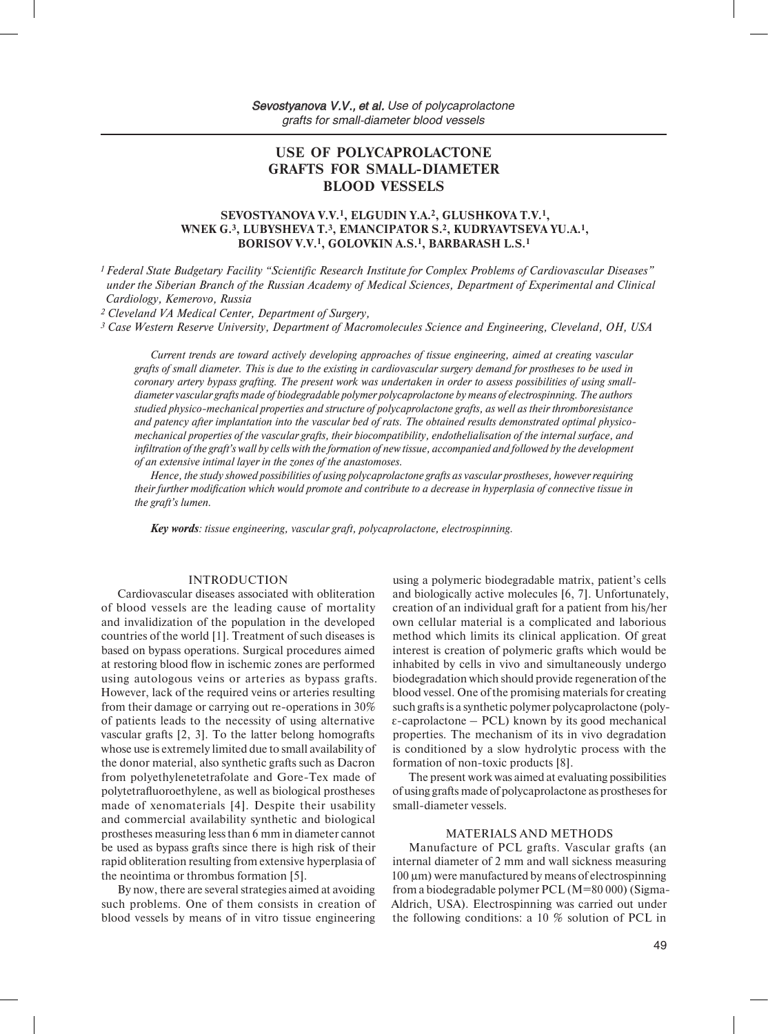# **USE OF POLYCAPROLACTONE GRAFTS FOR SMALL-DIAMETER BLOOD VESSELS**

# **SEVOSTYANOVA V.V.1, ELGUDIN Y.A.2, GLUSHKOVA T.V.1, WNEK G.3, LUBYSHEVA T.3, EMANCIPATOR S.2, KUDRYAVTSEVA YU.A.1, BORISOV V.V.1, GOLOVKIN A.S.1, BARBARASH L.S.1**

*1 Federal State Budgetary Facility "Scientific Research Institute for Complex Problems of Cardiovascular Diseases" under the Siberian Branch of the Russian Academy of Medical Sciences, Department of Experimental and Clinical Cardiology, Kemerovo, Russia* 

*2 Cleveland VA Medical Center, Department of Surgery,* 

*3 Case Western Reserve University, Department of Macromolecules Science and Engineering, Cleveland, OH, USA* 

*Current trends are toward actively developing approaches of tissue engineering, aimed at creating vascular grafts of small diameter. This is due to the existing in cardiovascular surgery demand for prostheses to be used in coronary artery bypass grafting. The present work was undertaken in order to assess possibilities of using smalldiameter vascular grafts made of biodegradable polymer polycaprolactone by means of electrospinning. The authors studied physico-mechanical properties and structure of polycaprolactone grafts, as well as their thromboresistance and patency after implantation into the vascular bed of rats. The obtained results demonstrated optimal physicomechanical properties of the vascular grafts, their biocompatibility, endothelialisation of the internal surface, and infiltration of the graft's wall by cells with the formation of new tissue, accompanied and followed by the development of an extensive intimal layer in the zones of the anastomoses.* 

*Hence, the study showed possibilities of using polycaprolactone grafts as vascular prostheses, however requiring their further modification which would promote and contribute to a decrease in hyperplasia of connective tissue in the graft's lumen.* 

*Key words: tissue engineering, vascular graft, polycaprolactone, electrospinning.*

## INTRODUCTION

Cardiovascular diseases associated with obliteration of blood vessels are the leading cause of mortality and invalidization of the population in the developed countries of the world [1]. Treatment of such diseases is based on bypass operations. Surgical procedures aimed at restoring blood flow in ischemic zones are performed using autologous veins or arteries as bypass grafts. However, lack of the required veins or arteries resulting from their damage or carrying out re-operations in 30% of patients leads to the necessity of using alternative vascular grafts [2, 3]. To the latter belong homografts whose use is extremely limited due to small availability of the donor material, also synthetic grafts such as Dacron from polyethylenetetrafolate and Gore-Tex made of polytetrafluoroethylene, as well as biological prostheses made of xenomaterials [4]. Despite their usability and commercial availability synthetic and biological prostheses measuring less than 6 mm in diameter cannot be used as bypass grafts since there is high risk of their rapid obliteration resulting from extensive hyperplasia of the neointima or thrombus formation [5].

By now, there are several strategies aimed at avoiding such problems. One of them consists in creation of blood vessels by means of in vitro tissue engineering

using a polymeric biodegradable matrix, patient's cells and biologically active molecules [6, 7]. Unfortunately, creation of an individual graft for a patient from his/her own cellular material is a complicated and laborious method which limits its clinical application. Of great interest is creation of polymeric grafts which would be inhabited by cells in vivo and simultaneously undergo biodegradation which should provide regeneration of the blood vessel. One of the promising materials for creating such grafts is a synthetic polymer polycaprolactone (poly- $\epsilon$ -caprolactone – PCL) known by its good mechanical properties. The mechanism of its in vivo degradation is conditioned by a slow hydrolytic process with the formation of non-toxic products [8].

The present work was aimed at evaluating possibilities of using grafts made of polycaprolactone as prostheses for small-diameter vessels.

#### MATERIALS AND METHODS

Manufacture of PCL grafts. Vascular grafts (an internal diameter of 2 mm and wall sickness measuring 100 µm) were manufactured by means of electrospinning from a biodegradable polymer PCL (M=80 000) (Sigma-Aldrich, USA). Electrospinning was carried out under the following conditions: a 10 % solution of PCL in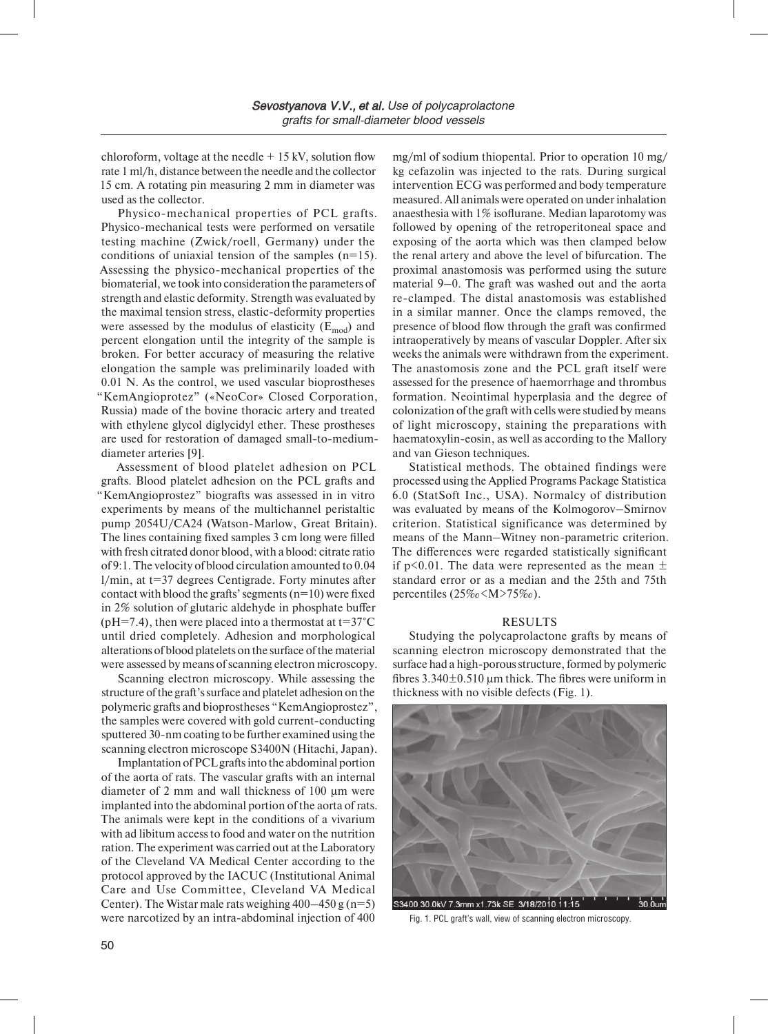chloroform, voltage at the needle  $+15$  kV, solution flow rate 1 ml/h, distance between the needle and the collector 15 cm. A rotating pin measuring 2 mm in diameter was used as the collector.

Physico-mechanical properties of PCL grafts. Physico-mechanical tests were performed on versatile testing machine (Zwick/roell, Germany) under the conditions of uniaxial tension of the samples (n=15). Assessing the physico-mechanical properties of the biomaterial, we took into consideration the parameters of strength and elastic deformity. Strength was evaluated by the maximal tension stress, elastic-deformity properties were assessed by the modulus of elasticity  $(E_{mod})$  and percent elongation until the integrity of the sample is broken. For better accuracy of measuring the relative elongation the sample was preliminarily loaded with 0.01 N. As the control, we used vascular bioprostheses "KemAngioprotez" («NeoCor» Closed Corporation, Russia) made of the bovine thoracic artery and treated with ethylene glycol diglycidyl ether. These prostheses are used for restoration of damaged small-to-mediumdiameter arteries [9].

Assessment of blood platelet adhesion on PCL grafts. Blood platelet adhesion on the PCL grafts and "KemAngioprostez" biografts was assessed in in vitro experiments by means of the multichannel peristaltic pump 2054U/CA24 (Watson-Marlow, Great Britain). The lines containing fixed samples 3 cm long were filled with fresh citrated donor blood, with a blood: citrate ratio of 9:1. The velocity of blood circulation amounted to 0.04 l/min, at t=37 degrees Centigrade. Forty minutes after contact with blood the grafts' segments  $(n=10)$  were fixed in 2% solution of glutaric aldehyde in phosphate buffer (pH=7.4), then were placed into a thermostat at  $t=37^{\circ}$ C until dried completely. Adhesion and morphological alterations of blood platelets on the surface of the material were assessed by means of scanning electron microscopy.

Scanning electron microscopy. While assessing the structure of the graft's surface and platelet adhesion on the polymeric grafts and bioprostheses "KemAngioprostez", the samples were covered with gold current-conducting sputtered 30-nm coating to be further examined using the scanning electron microscope S3400N (Hitachi, Japan).

Implantation of PCL grafts into the abdominal portion of the aorta of rats. The vascular grafts with an internal diameter of 2 mm and wall thickness of 100 µm were implanted into the abdominal portion of the aorta of rats. The animals were kept in the conditions of a vivarium with ad libitum access to food and water on the nutrition ration. The experiment was carried out at the Laboratory of the Cleveland VA Medical Center according to the protocol approved by the IACUC (Institutional Animal Care and Use Committee, Cleveland VA Medical Center). The Wistar male rats weighing  $400-450$  g (n=5) were narcotized by an intra-abdominal injection of 400

mg/ml of sodium thiopental. Prior to operation 10 mg/ kg cefazolin was injected to the rats. During surgical intervention ECG was performed and body temperature measured. All animals were operated on under inhalation anaesthesia with 1% isoflurane. Median laparotomy was followed by opening of the retroperitoneal space and exposing of the aorta which was then clamped below the renal artery and above the level of bifurcation. The proximal anastomosis was performed using the suture material 9–0. The graft was washed out and the aorta re-clamped. The distal anastomosis was established in a similar manner. Once the clamps removed, the presence of blood flow through the graft was confirmed intraoperatively by means of vascular Doppler. After six weeks the animals were withdrawn from the experiment. The anastomosis zone and the PCL graft itself were assessed for the presence of haemorrhage and thrombus formation. Neointimal hyperplasia and the degree of colonization of the graft with cells were studied by means of light microscopy, staining the preparations with haematoxylin-eosin, as well as according to the Mallory and van Gieson techniques.

Statistical methods. The obtained findings were processed using the Applied Programs Package Statistica 6.0 (StatSoft Inc., USA). Normalcy of distribution was evaluated by means of the Kolmogorov–Smirnov criterion. Statistical significance was determined by means of the Mann–Witney non-parametric criterion. The differences were regarded statistically significant if p<0.01. The data were represented as the mean  $\pm$ standard error or as a median and the 25th and 75th percentiles (25‰<M>75‰).

#### RESULTS

Studying the polycaprolactone grafts by means of scanning electron microscopy demonstrated that the surface had a high-porous structure, formed by polymeric fibres  $3.340\pm0.510$  µm thick. The fibres were uniform in thickness with no visible defects (Fig. 1).



Fig. 1. PCL graft's wall, view of scanning electron microscopy.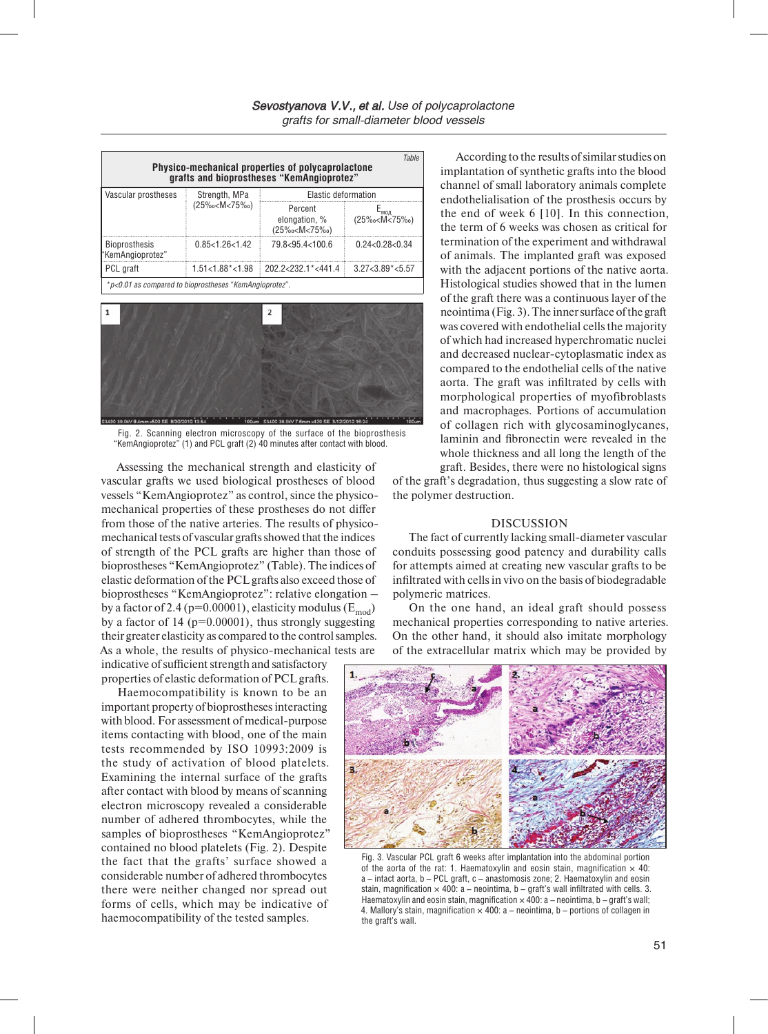| <b>Table</b><br>Physico-mechanical properties of polycaprolactone<br>grafts and bioprostheses "KemAngioprotez" |                                                                                         |                                                                                                                      |                                        |
|----------------------------------------------------------------------------------------------------------------|-----------------------------------------------------------------------------------------|----------------------------------------------------------------------------------------------------------------------|----------------------------------------|
| Vascular prostheses                                                                                            | Strength, MPa<br>(25‰ <m<75‰)< td=""><td colspan="2">Elastic deformation</td></m<75‰)<> | Elastic deformation                                                                                                  |                                        |
|                                                                                                                |                                                                                         | Percent<br>elongation, %<br>(25‰ <m<75‰)< td=""><td>Е<sub>мод</sub><br/><math>(25\% \text{°C})</math></td></m<75‰)<> | Е <sub>мод</sub><br>$(25\% \text{°C})$ |
| <b>Bioprosthesis</b><br>"KemAngioprotez"                                                                       | 0.85<1.26<1.42                                                                          | 79.8<95.4<100.6                                                                                                      | 0.24 <sub>0.28<sub>0.34</sub></sub>    |
| PCL graft                                                                                                      | $1.51 < 1.88$ <sup>*</sup> $< 1.98$                                                     | $20222321\times 4414$                                                                                                | $3.27 < 3.89$ <sup>*</sup> $< 5.57$    |
| *p<0.01 as compared to bioprostheses "KemAngioprotez".                                                         |                                                                                         |                                                                                                                      |                                        |



Fig. 2. Scanning electron microscopy of the surface of the bioprosthesis "KemAngioprotez" (1) and PCL graft (2) 40 minutes after contact with blood.

Assessing the mechanical strength and elasticity of vascular grafts we used biological prostheses of blood vessels "KemAngioprotez" as control, since the physicomechanical properties of these prostheses do not differ from those of the native arteries. The results of physicomechanical tests of vascular grafts showed that the indices of strength of the PCL grafts are higher than those of bioprostheses "KemAngioprotez" (Table). The indices of elastic deformation of the PCL grafts also exceed those of bioprostheses "KemAngioprotez": relative elongation – by a factor of 2.4 (p=0.00001), elasticity modulus ( $E_{mod}$ ) by a factor of  $14$  ( $p=0.00001$ ), thus strongly suggesting their greater elasticity as compared to the control samples. As a whole, the results of physico-mechanical tests are

indicative of sufficient strength and satisfactory properties of elastic deformation of PCL grafts.

Haemocompatibility is known to be an important property of bioprostheses interacting with blood. For assessment of medical-purpose items contacting with blood, one of the main tests recommended by ISO 10993:2009 is the study of activation of blood platelets. Examining the internal surface of the grafts after contact with blood by means of scanning electron microscopy revealed a considerable number of adhered thrombocytes, while the samples of bioprostheses "KemAngioprotez" contained no blood platelets (Fig. 2). Despite the fact that the grafts' surface showed a considerable number of adhered thrombocytes there were neither changed nor spread out forms of cells, which may be indicative of haemocompatibility of the tested samples.

According to the results of similar studies on implantation of synthetic grafts into the blood channel of small laboratory animals complete endothelialisation of the prosthesis occurs by the end of week 6 [10]. In this connection, the term of 6 weeks was chosen as critical for termination of the experiment and withdrawal of animals. The implanted graft was exposed with the adjacent portions of the native aorta. Histological studies showed that in the lumen of the graft there was a continuous layer of the neointima (Fig. 3). The inner surface of the graft was covered with endothelial cells the majority of which had increased hyperchromatic nuclei and decreased nuclear-cytoplasmatic index as compared to the endothelial cells of the native aorta. The graft was infiltrated by cells with morphological properties of myofibroblasts and macrophages. Portions of accumulation of collagen rich with glycosaminoglycanes, laminin and fibronectin were revealed in the whole thickness and all long the length of the graft. Besides, there were no histological signs

of the graft's degradation, thus suggesting a slow rate of the polymer destruction.

### DISCUSSION

The fact of currently lacking small-diameter vascular conduits possessing good patency and durability calls for attempts aimed at creating new vascular grafts to be infiltrated with cells in vivo on the basis of biodegradable polymeric matrices.

On the one hand, an ideal graft should possess mechanical properties corresponding to native arteries. On the other hand, it should also imitate morphology of the extracellular matrix which may be provided by



Fig. 3. Vascular PCL graft 6 weeks after implantation into the abdominal portion of the aorta of the rat: 1. Haematoxylin and eosin stain, magnification  $\times$  40: a – intact aorta, b – PCL graft, c – anastomosis zone; 2. Haematoxylin and eosin stain, magnification  $\times$  400: a – neointima, b – graft's wall infiltrated with cells. 3. Haematoxylin and eosin stain, magnification  $\times$  400: a – neointima, b – graft's wall; 4. Mallory's stain, magnification  $\times$  400: a – neointima, b – portions of collagen in the graft's wall.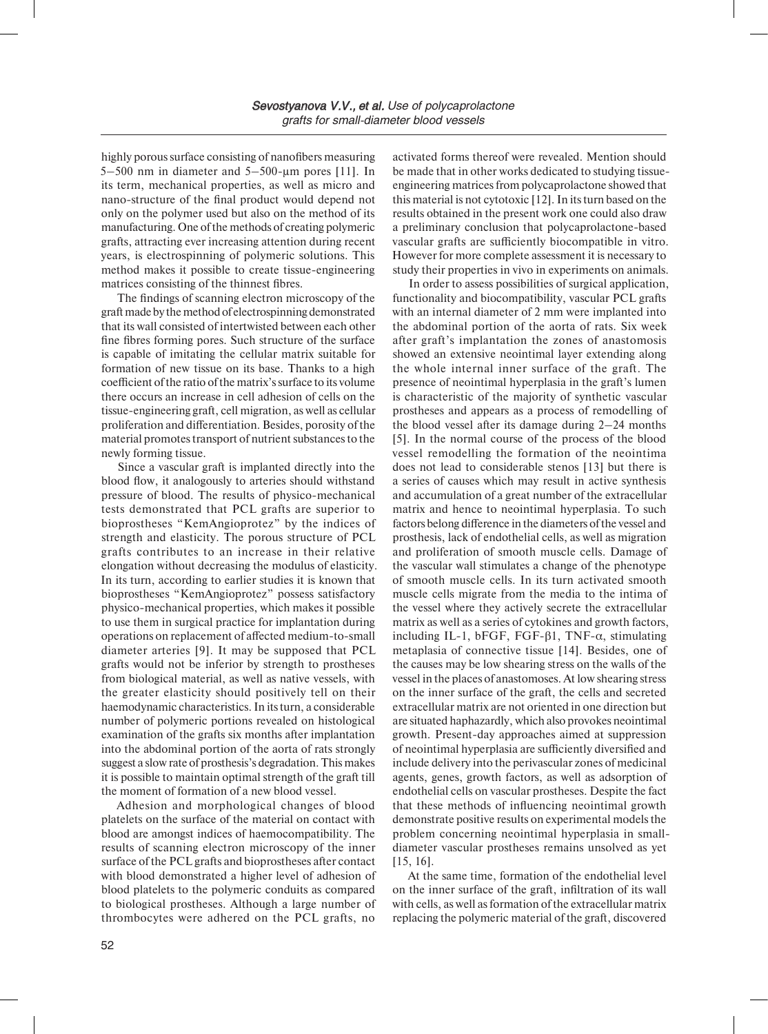highly porous surface consisting of nanofibers measuring 5–500 nm in diameter and  $5-500$ -µm pores [11]. In its term, mechanical properties, as well as micro and nano-structure of the final product would depend not only on the polymer used but also on the method of its manufacturing. One of the methods of creating polymeric grafts, attracting ever increasing attention during recent years, is electrospinning of polymeric solutions. This method makes it possible to create tissue-engineering matrices consisting of the thinnest fibres.

The findings of scanning electron microscopy of the graft made by the method of electrospinning demonstrated that its wall consisted of intertwisted between each other fine fibres forming pores. Such structure of the surface is capable of imitating the cellular matrix suitable for formation of new tissue on its base. Thanks to a high coefficient of the ratio of the matrix's surface to its volume there occurs an increase in cell adhesion of cells on the tissue-engineering graft, cell migration, as well as cellular proliferation and differentiation. Besides, porosity of the material promotes transport of nutrient substances to the newly forming tissue.

Since a vascular graft is implanted directly into the blood flow, it analogously to arteries should withstand pressure of blood. The results of physico-mechanical tests demonstrated that PCL grafts are superior to bioprostheses "KemAngioprotez" by the indices of strength and elasticity. The porous structure of PCL grafts contributes to an increase in their relative elongation without decreasing the modulus of elasticity. In its turn, according to earlier studies it is known that bioprostheses "KemAngioprotez" possess satisfactory physico-mechanical properties, which makes it possible to use them in surgical practice for implantation during operations on replacement of affected medium-to-small diameter arteries [9]. It may be supposed that PCL grafts would not be inferior by strength to prostheses from biological material, as well as native vessels, with the greater elasticity should positively tell on their haemodynamic characteristics. In its turn, a considerable number of polymeric portions revealed on histological examination of the grafts six months after implantation into the abdominal portion of the aorta of rats strongly suggest a slow rate of prosthesis's degradation. This makes it is possible to maintain optimal strength of the graft till the moment of formation of a new blood vessel.

Adhesion and morphological changes of blood platelets on the surface of the material on contact with blood are amongst indices of haemocompatibility. The results of scanning electron microscopy of the inner surface of the PCL grafts and bioprostheses after contact with blood demonstrated a higher level of adhesion of blood platelets to the polymeric conduits as compared to biological prostheses. Although a large number of thrombocytes were adhered on the PCL grafts, no

activated forms thereof were revealed. Mention should be made that in other works dedicated to studying tissueengineering matrices from polycaprolactone showed that this material is not cytotoxic [12]. In its turn based on the results obtained in the present work one could also draw a preliminary conclusion that polycaprolactone-based vascular grafts are sufficiently biocompatible in vitro. However for more complete assessment it is necessary to study their properties in vivo in experiments on animals.

In order to assess possibilities of surgical application, functionality and biocompatibility, vascular PCL grafts with an internal diameter of 2 mm were implanted into the abdominal portion of the aorta of rats. Six week after graft's implantation the zones of anastomosis showed an extensive neointimal layer extending along the whole internal inner surface of the graft. The presence of neointimal hyperplasia in the graft's lumen is characteristic of the majority of synthetic vascular prostheses and appears as a process of remodelling of the blood vessel after its damage during 2–24 months [5]. In the normal course of the process of the blood vessel remodelling the formation of the neointima does not lead to considerable stenos [13] but there is a series of causes which may result in active synthesis and accumulation of a great number of the extracellular matrix and hence to neointimal hyperplasia. To such factors belong difference in the diameters of the vessel and prosthesis, lack of endothelial cells, as well as migration and proliferation of smooth muscle cells. Damage of the vascular wall stimulates a change of the phenotype of smooth muscle cells. In its turn activated smooth muscle cells migrate from the media to the intima of the vessel where they actively secrete the extracellular matrix as well as a series of cytokines and growth factors, including IL-1, bFGF, FGF-β1, TNF-α, stimulating metaplasia of connective tissue [14]. Besides, one of the causes may be low shearing stress on the walls of the vessel in the places of anastomoses. At low shearing stress on the inner surface of the graft, the cells and secreted extracellular matrix are not oriented in one direction but are situated haphazardly, which also provokes neointimal growth. Present-day approaches aimed at suppression of neointimal hyperplasia are sufficiently diversified and include delivery into the perivascular zones of medicinal agents, genes, growth factors, as well as adsorption of endothelial cells on vascular prostheses. Despite the fact that these methods of influencing neointimal growth demonstrate positive results on experimental models the problem concerning neointimal hyperplasia in smalldiameter vascular prostheses remains unsolved as yet [15, 16].

At the same time, formation of the endothelial level on the inner surface of the graft, infiltration of its wall with cells, as well as formation of the extracellular matrix replacing the polymeric material of the graft, discovered